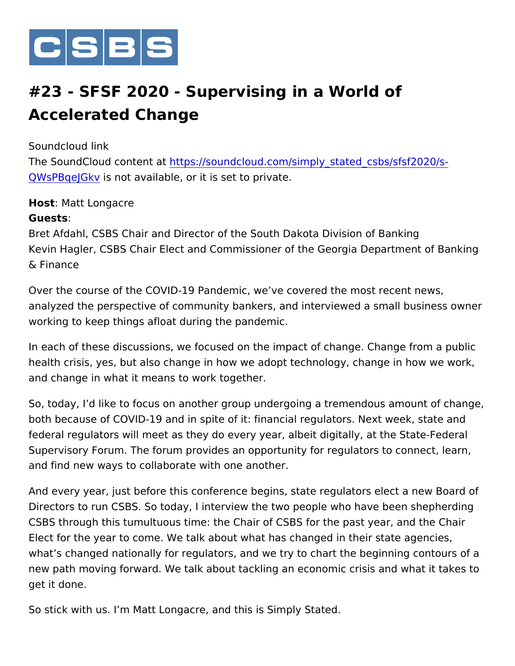

## #23 - SFSF 2020 - Supervising in a World of Accelerated Change

Soundcloud link The <code>SoundCloud con</code>ttet  $\mathfrak{ps}:2f$  soundcloud.com/simply\_stated\_csbs/sfsf [QWsPBqeJ](https://soundcloud.com/simply_stated_csbs/sfsf2020/s-QWsPBqeJGkv)G& whot available, or it is set to private.

Host: Matt Longacre Guests: Bret Afdahl, CSBS Chair and Director of the South Dakota Division Kevin Hagler, CSBS Chair Elect and Commissioner of the Georgia D & Finance

Over the course of the COVID-19 Pandemic, we ve covered the mos analyzed the perspective of community bankers, and interviewed a working to keep things afloat during the pandemic.

In each of these discussions, we focused on the impact of change. health crisis, yes, but also change in how we adopt technology, cha and change in what it means to work together.

So, today, I d like to focus on another group undergoing a tremende both because of COVID-19 and in spite of it: financial regulators. N federal regulators will meet as they do every year, albeit digitally, Supervisory Forum. The forum provides an opportunity for regulator and find new ways to collaborate with one another.

And every year, just before this conference begins, state regulator Directors to run CSBS. So today, I interview the two people who ha CSBS through this tumultuous time: the Chair of CSBS for the past Elect for the year to come. We talk about what has changed in their what s changed nationally for regulators, and we try to chart the be new path moving forward. We talk about tackling an economic crisis get it done.

So stick with us. I m Matt Longacre, and this is Simply Stated.